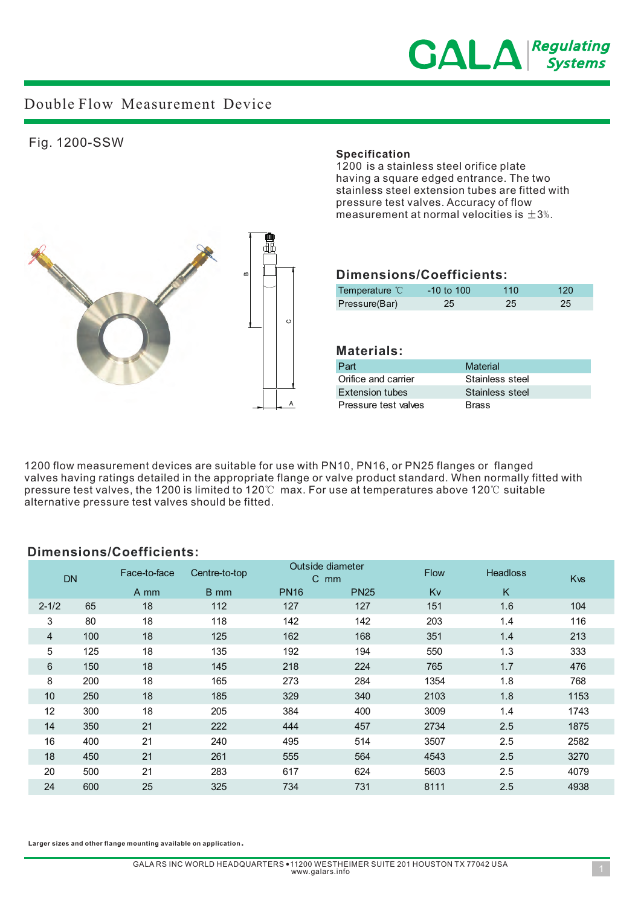

# Double Flow Measurement Device

### Fig. 1200-SSW

#### **Specification**

1200 is a stainless steel orifice plate having a square edged entrance. The two stainless steel extension tubes are fitted with pressure test valves. Accuracy of flow measurement at normal velocities is  $\pm 3$ %.



## **Dimensions/Coefficients:**

| Temperature °C | $-10$ to $100$ | 110 | 120 |
|----------------|----------------|-----|-----|
| Pressure(Bar)  | 25             | 25  | 25. |

### **Materials:**

| Part                   | Material        |
|------------------------|-----------------|
| Orifice and carrier    | Stainless steel |
| <b>Extension tubes</b> | Stainless steel |
| Pressure test valves   | <b>Brass</b>    |

1200 flow measurement devices are suitable for use with PN10, PN16, or PN25 flanges or flanged valves having ratings detailed in the appropriate flange or valve product standard. When normally fitted with pressure test valves, the 1200 is limited to 120℃ max. For use at temperatures above 120℃ suitable alternative pressure test valves should be fitted.

### **Dimensions/Coefficients:**

| <b>DN</b> |     | Face-to-face | Centre-to-top | $\mathsf{C}$ | Outside diameter<br>mm | <b>Flow</b> | <b>Headloss</b> | <b>K<sub>vs</sub></b> |
|-----------|-----|--------------|---------------|--------------|------------------------|-------------|-----------------|-----------------------|
|           |     | A mm         | B mm          | <b>PN16</b>  | <b>PN25</b>            | Kv          | K               |                       |
| $2 - 1/2$ | 65  | 18           | 112           | 127          | 127                    | 151         | 1.6             | 104                   |
| 3         | 80  | 18           | 118           | 142          | 142                    | 203         | 1.4             | 116                   |
| 4         | 100 | 18           | 125           | 162          | 168                    | 351         | 1.4             | 213                   |
| 5         | 125 | 18           | 135           | 192          | 194                    | 550         | 1.3             | 333                   |
| 6         | 150 | 18           | 145           | 218          | 224                    | 765         | 1.7             | 476                   |
| 8         | 200 | 18           | 165           | 273          | 284                    | 1354        | 1.8             | 768                   |
| 10        | 250 | 18           | 185           | 329          | 340                    | 2103        | 1.8             | 1153                  |
| 12        | 300 | 18           | 205           | 384          | 400                    | 3009        | 1.4             | 1743                  |
| 14        | 350 | 21           | 222           | 444          | 457                    | 2734        | 2.5             | 1875                  |
| 16        | 400 | 21           | 240           | 495          | 514                    | 3507        | 2.5             | 2582                  |
| 18        | 450 | 21           | 261           | 555          | 564                    | 4543        | 2.5             | 3270                  |
| 20        | 500 | 21           | 283           | 617          | 624                    | 5603        | 2.5             | 4079                  |
| 24        | 600 | 25           | 325           | 734          | 731                    | 8111        | 2.5             | 4938                  |

**Larger sizes and other flange mounting available on application**.